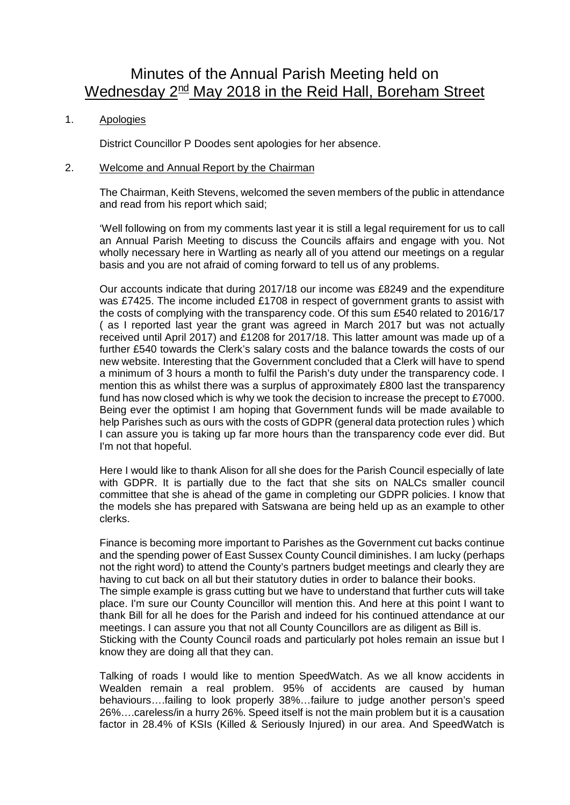# Minutes of the Annual Parish Meeting held on Wednesday 2<sup>nd</sup> May 2018 in the Reid Hall, Boreham Street

# 1. Apologies

District Councillor P Doodes sent apologies for her absence.

## 2. Welcome and Annual Report by the Chairman

The Chairman, Keith Stevens, welcomed the seven members of the public in attendance and read from his report which said;

'Well following on from my comments last year it is still a legal requirement for us to call an Annual Parish Meeting to discuss the Councils affairs and engage with you. Not wholly necessary here in Wartling as nearly all of you attend our meetings on a regular basis and you are not afraid of coming forward to tell us of any problems.

Our accounts indicate that during 2017/18 our income was £8249 and the expenditure was £7425. The income included £1708 in respect of government grants to assist with the costs of complying with the transparency code. Of this sum £540 related to 2016/17 ( as I reported last year the grant was agreed in March 2017 but was not actually received until April 2017) and £1208 for 2017/18. This latter amount was made up of a further £540 towards the Clerk's salary costs and the balance towards the costs of our new website. Interesting that the Government concluded that a Clerk will have to spend a minimum of 3 hours a month to fulfil the Parish's duty under the transparency code. I mention this as whilst there was a surplus of approximately £800 last the transparency fund has now closed which is why we took the decision to increase the precept to £7000. Being ever the optimist I am hoping that Government funds will be made available to help Parishes such as ours with the costs of GDPR (general data protection rules ) which I can assure you is taking up far more hours than the transparency code ever did. But I'm not that hopeful.

Here I would like to thank Alison for all she does for the Parish Council especially of late with GDPR. It is partially due to the fact that she sits on NALCs smaller council committee that she is ahead of the game in completing our GDPR policies. I know that the models she has prepared with Satswana are being held up as an example to other clerks.

Finance is becoming more important to Parishes as the Government cut backs continue and the spending power of East Sussex County Council diminishes. I am lucky (perhaps not the right word) to attend the County's partners budget meetings and clearly they are having to cut back on all but their statutory duties in order to balance their books. The simple example is grass cutting but we have to understand that further cuts will take place. I'm sure our County Councillor will mention this. And here at this point I want to thank Bill for all he does for the Parish and indeed for his continued attendance at our meetings. I can assure you that not all County Councillors are as diligent as Bill is. Sticking with the County Council roads and particularly pot holes remain an issue but I know they are doing all that they can.

Talking of roads I would like to mention SpeedWatch. As we all know accidents in Wealden remain a real problem. 95% of accidents are caused by human behaviours….failing to look properly 38%…failure to judge another person's speed 26%….careless/in a hurry 26%. Speed itself is not the main problem but it is a causation factor in 28.4% of KSIs (Killed & Seriously Injured) in our area. And SpeedWatch is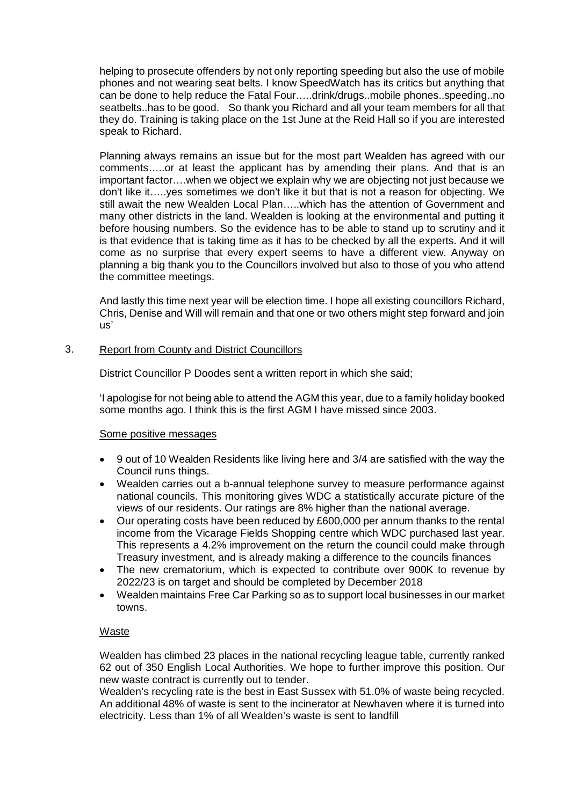helping to prosecute offenders by not only reporting speeding but also the use of mobile phones and not wearing seat belts. I know SpeedWatch has its critics but anything that can be done to help reduce the Fatal Four…..drink/drugs..mobile phones..speeding..no seatbelts..has to be good. So thank you Richard and all your team members for all that they do. Training is taking place on the 1st June at the Reid Hall so if you are interested speak to Richard.

Planning always remains an issue but for the most part Wealden has agreed with our comments…..or at least the applicant has by amending their plans. And that is an important factor….when we object we explain why we are objecting not just because we don't like it…..yes sometimes we don't like it but that is not a reason for objecting. We still await the new Wealden Local Plan.....which has the attention of Government and many other districts in the land. Wealden is looking at the environmental and putting it before housing numbers. So the evidence has to be able to stand up to scrutiny and it is that evidence that is taking time as it has to be checked by all the experts. And it will come as no surprise that every expert seems to have a different view. Anyway on planning a big thank you to the Councillors involved but also to those of you who attend the committee meetings.

And lastly this time next year will be election time. I hope all existing councillors Richard, Chris, Denise and Will will remain and that one or two others might step forward and join us'

# 3. Report from County and District Councillors

District Councillor P Doodes sent a written report in which she said;

'I apologise for not being able to attend the AGM this year, due to a family holiday booked some months ago. I think this is the first AGM I have missed since 2003.

# Some positive messages

- 9 out of 10 Wealden Residents like living here and 3/4 are satisfied with the way the Council runs things.
- Wealden carries out a b-annual telephone survey to measure performance against national councils. This monitoring gives WDC a statistically accurate picture of the views of our residents. Our ratings are 8% higher than the national average.
- Our operating costs have been reduced by £600,000 per annum thanks to the rental income from the Vicarage Fields Shopping centre which WDC purchased last year. This represents a 4.2% improvement on the return the council could make through Treasury investment, and is already making a difference to the councils finances
- The new crematorium, which is expected to contribute over 900K to revenue by 2022/23 is on target and should be completed by December 2018
- Wealden maintains Free Car Parking so as to support local businesses in our market towns.

# Waste

Wealden has climbed 23 places in the national recycling league table, currently ranked 62 out of 350 English Local Authorities. We hope to further improve this position. Our new waste contract is currently out to tender.

Wealden's recycling rate is the best in East Sussex with 51.0% of waste being recycled. An additional 48% of waste is sent to the incinerator at Newhaven where it is turned into electricity. Less than 1% of all Wealden's waste is sent to landfill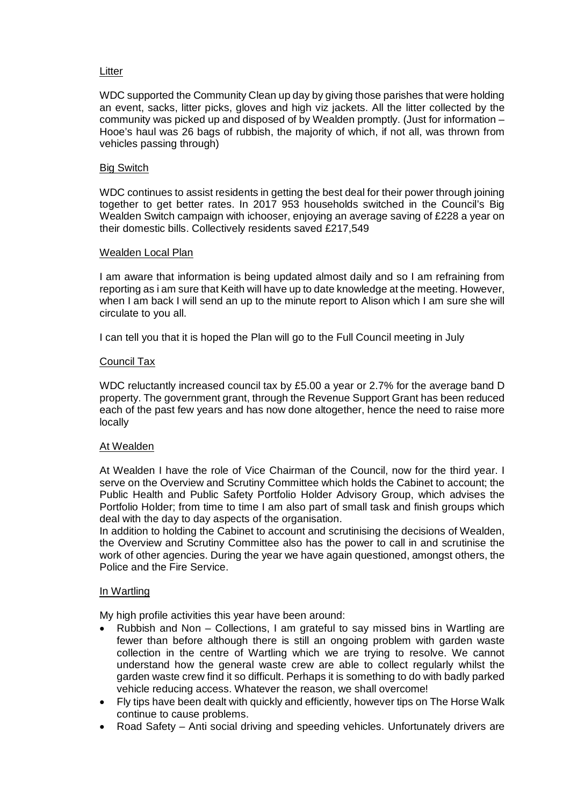# **Litter**

WDC supported the Community Clean up day by giving those parishes that were holding an event, sacks, litter picks, gloves and high viz jackets. All the litter collected by the community was picked up and disposed of by Wealden promptly. (Just for information – Hooe's haul was 26 bags of rubbish, the majority of which, if not all, was thrown from vehicles passing through)

## Big Switch

WDC continues to assist residents in getting the best deal for their power through joining together to get better rates. In 2017 953 households switched in the Council's Big Wealden Switch campaign with ichooser, enjoying an average saving of £228 a year on their domestic bills. Collectively residents saved £217,549

#### Wealden Local Plan

I am aware that information is being updated almost daily and so I am refraining from reporting as i am sure that Keith will have up to date knowledge at the meeting. However, when I am back I will send an up to the minute report to Alison which I am sure she will circulate to you all.

I can tell you that it is hoped the Plan will go to the Full Council meeting in July

## Council Tax

WDC reluctantly increased council tax by £5.00 a year or 2.7% for the average band D property. The government grant, through the Revenue Support Grant has been reduced each of the past few years and has now done altogether, hence the need to raise more locally

#### At Wealden

At Wealden I have the role of Vice Chairman of the Council, now for the third year. I serve on the Overview and Scrutiny Committee which holds the Cabinet to account; the Public Health and Public Safety Portfolio Holder Advisory Group, which advises the Portfolio Holder; from time to time I am also part of small task and finish groups which deal with the day to day aspects of the organisation.

In addition to holding the Cabinet to account and scrutinising the decisions of Wealden, the Overview and Scrutiny Committee also has the power to call in and scrutinise the work of other agencies. During the year we have again questioned, amongst others, the Police and the Fire Service.

#### In Wartling

My high profile activities this year have been around:

- Rubbish and Non Collections, I am grateful to say missed bins in Wartling are fewer than before although there is still an ongoing problem with garden waste collection in the centre of Wartling which we are trying to resolve. We cannot understand how the general waste crew are able to collect regularly whilst the garden waste crew find it so difficult. Perhaps it is something to do with badly parked vehicle reducing access. Whatever the reason, we shall overcome!
- Fly tips have been dealt with quickly and efficiently, however tips on The Horse Walk continue to cause problems.
- Road Safety Anti social driving and speeding vehicles. Unfortunately drivers are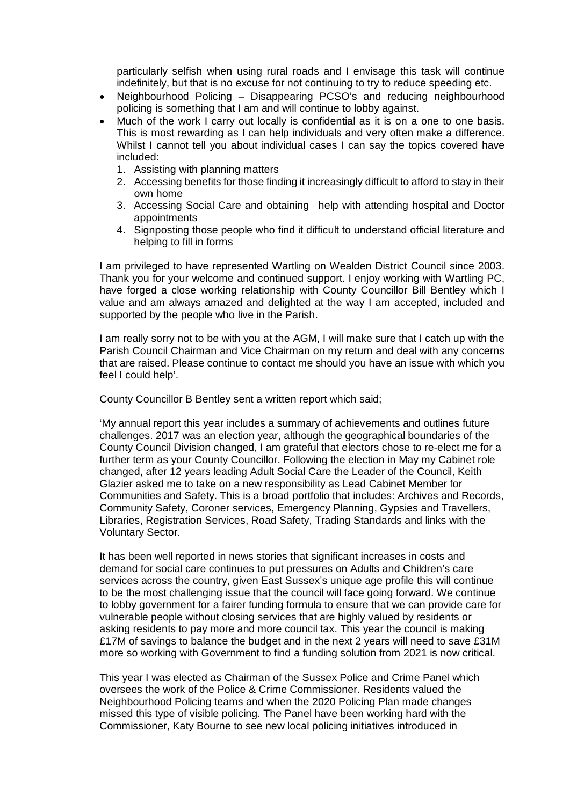particularly selfish when using rural roads and I envisage this task will continue indefinitely, but that is no excuse for not continuing to try to reduce speeding etc.

- Neighbourhood Policing Disappearing PCSO's and reducing neighbourhood policing is something that I am and will continue to lobby against.
- Much of the work I carry out locally is confidential as it is on a one to one basis. This is most rewarding as I can help individuals and very often make a difference. Whilst I cannot tell you about individual cases I can say the topics covered have included:
	- 1. Assisting with planning matters
	- 2. Accessing benefits for those finding it increasingly difficult to afford to stay in their own home
	- 3. Accessing Social Care and obtaining help with attending hospital and Doctor appointments
	- 4. Signposting those people who find it difficult to understand official literature and helping to fill in forms

I am privileged to have represented Wartling on Wealden District Council since 2003. Thank you for your welcome and continued support. I enjoy working with Wartling PC, have forged a close working relationship with County Councillor Bill Bentley which I value and am always amazed and delighted at the way I am accepted, included and supported by the people who live in the Parish.

I am really sorry not to be with you at the AGM, I will make sure that I catch up with the Parish Council Chairman and Vice Chairman on my return and deal with any concerns that are raised. Please continue to contact me should you have an issue with which you feel I could help'.

County Councillor B Bentley sent a written report which said;

'My annual report this year includes a summary of achievements and outlines future challenges. 2017 was an election year, although the geographical boundaries of the County Council Division changed, I am grateful that electors chose to re-elect me for a further term as your County Councillor. Following the election in May my Cabinet role changed, after 12 years leading Adult Social Care the Leader of the Council, Keith Glazier asked me to take on a new responsibility as Lead Cabinet Member for Communities and Safety. This is a broad portfolio that includes: Archives and Records, Community Safety, Coroner services, Emergency Planning, Gypsies and Travellers, Libraries, Registration Services, Road Safety, Trading Standards and links with the Voluntary Sector.

It has been well reported in news stories that significant increases in costs and demand for social care continues to put pressures on Adults and Children's care services across the country, given East Sussex's unique age profile this will continue to be the most challenging issue that the council will face going forward. We continue to lobby government for a fairer funding formula to ensure that we can provide care for vulnerable people without closing services that are highly valued by residents or asking residents to pay more and more council tax. This year the council is making £17M of savings to balance the budget and in the next 2 years will need to save £31M more so working with Government to find a funding solution from 2021 is now critical.

This year I was elected as Chairman of the Sussex Police and Crime Panel which oversees the work of the Police & Crime Commissioner. Residents valued the Neighbourhood Policing teams and when the 2020 Policing Plan made changes missed this type of visible policing. The Panel have been working hard with the Commissioner, Katy Bourne to see new local policing initiatives introduced in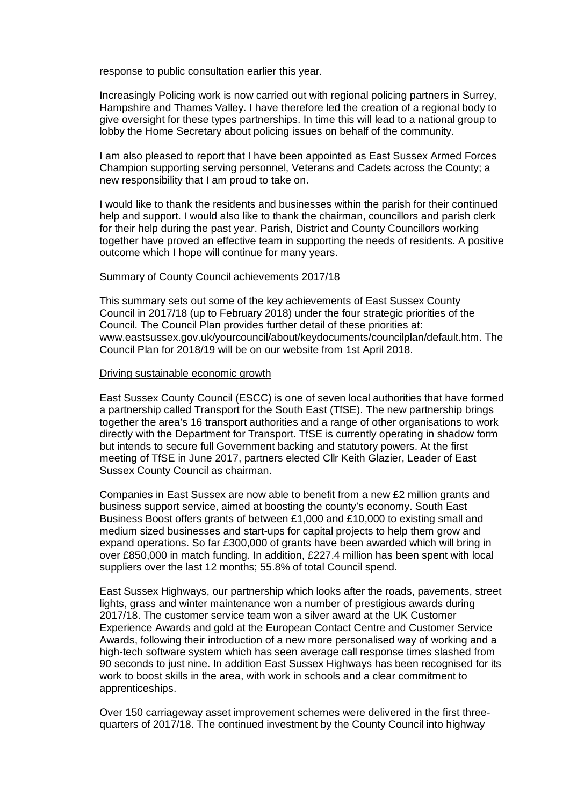response to public consultation earlier this year.

Increasingly Policing work is now carried out with regional policing partners in Surrey, Hampshire and Thames Valley. I have therefore led the creation of a regional body to give oversight for these types partnerships. In time this will lead to a national group to lobby the Home Secretary about policing issues on behalf of the community.

I am also pleased to report that I have been appointed as East Sussex Armed Forces Champion supporting serving personnel, Veterans and Cadets across the County; a new responsibility that I am proud to take on.

I would like to thank the residents and businesses within the parish for their continued help and support. I would also like to thank the chairman, councillors and parish clerk for their help during the past year. Parish, District and County Councillors working together have proved an effective team in supporting the needs of residents. A positive outcome which I hope will continue for many years.

#### Summary of County Council achievements 2017/18

This summary sets out some of the key achievements of East Sussex County Council in 2017/18 (up to February 2018) under the four strategic priorities of the Council. The Council Plan provides further detail of these priorities at: www.eastsussex.gov.uk/yourcouncil/about/keydocuments/councilplan/default.htm. The Council Plan for 2018/19 will be on our website from 1st April 2018.

#### Driving sustainable economic growth

East Sussex County Council (ESCC) is one of seven local authorities that have formed a partnership called Transport for the South East (TfSE). The new partnership brings together the area's 16 transport authorities and a range of other organisations to work directly with the Department for Transport. TfSE is currently operating in shadow form but intends to secure full Government backing and statutory powers. At the first meeting of TfSE in June 2017, partners elected Cllr Keith Glazier, Leader of East Sussex County Council as chairman.

Companies in East Sussex are now able to benefit from a new £2 million grants and business support service, aimed at boosting the county's economy. South East Business Boost offers grants of between £1,000 and £10,000 to existing small and medium sized businesses and start-ups for capital projects to help them grow and expand operations. So far £300,000 of grants have been awarded which will bring in over £850,000 in match funding. In addition, £227.4 million has been spent with local suppliers over the last 12 months; 55.8% of total Council spend.

East Sussex Highways, our partnership which looks after the roads, pavements, street lights, grass and winter maintenance won a number of prestigious awards during 2017/18. The customer service team won a silver award at the UK Customer Experience Awards and gold at the European Contact Centre and Customer Service Awards, following their introduction of a new more personalised way of working and a high-tech software system which has seen average call response times slashed from 90 seconds to just nine. In addition East Sussex Highways has been recognised for its work to boost skills in the area, with work in schools and a clear commitment to apprenticeships.

Over 150 carriageway asset improvement schemes were delivered in the first threequarters of 2017/18. The continued investment by the County Council into highway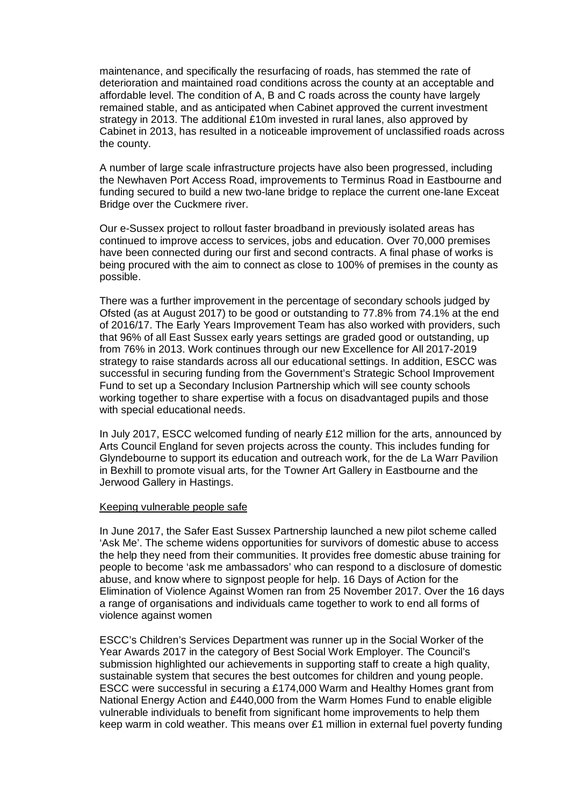maintenance, and specifically the resurfacing of roads, has stemmed the rate of deterioration and maintained road conditions across the county at an acceptable and affordable level. The condition of A, B and C roads across the county have largely remained stable, and as anticipated when Cabinet approved the current investment strategy in 2013. The additional £10m invested in rural lanes, also approved by Cabinet in 2013, has resulted in a noticeable improvement of unclassified roads across the county.

A number of large scale infrastructure projects have also been progressed, including the Newhaven Port Access Road, improvements to Terminus Road in Eastbourne and funding secured to build a new two-lane bridge to replace the current one-lane Exceat Bridge over the Cuckmere river.

Our e-Sussex project to rollout faster broadband in previously isolated areas has continued to improve access to services, jobs and education. Over 70,000 premises have been connected during our first and second contracts. A final phase of works is being procured with the aim to connect as close to 100% of premises in the county as possible.

There was a further improvement in the percentage of secondary schools judged by Ofsted (as at August 2017) to be good or outstanding to 77.8% from 74.1% at the end of 2016/17. The Early Years Improvement Team has also worked with providers, such that 96% of all East Sussex early years settings are graded good or outstanding, up from 76% in 2013. Work continues through our new Excellence for All 2017-2019 strategy to raise standards across all our educational settings. In addition, ESCC was successful in securing funding from the Government's Strategic School Improvement Fund to set up a Secondary Inclusion Partnership which will see county schools working together to share expertise with a focus on disadvantaged pupils and those with special educational needs.

In July 2017, ESCC welcomed funding of nearly £12 million for the arts, announced by Arts Council England for seven projects across the county. This includes funding for Glyndebourne to support its education and outreach work, for the de La Warr Pavilion in Bexhill to promote visual arts, for the Towner Art Gallery in Eastbourne and the Jerwood Gallery in Hastings.

#### Keeping vulnerable people safe

In June 2017, the Safer East Sussex Partnership launched a new pilot scheme called 'Ask Me'. The scheme widens opportunities for survivors of domestic abuse to access the help they need from their communities. It provides free domestic abuse training for people to become 'ask me ambassadors' who can respond to a disclosure of domestic abuse, and know where to signpost people for help. 16 Days of Action for the Elimination of Violence Against Women ran from 25 November 2017. Over the 16 days a range of organisations and individuals came together to work to end all forms of violence against women

ESCC's Children's Services Department was runner up in the Social Worker of the Year Awards 2017 in the category of Best Social Work Employer. The Council's submission highlighted our achievements in supporting staff to create a high quality, sustainable system that secures the best outcomes for children and young people. ESCC were successful in securing a £174,000 Warm and Healthy Homes grant from National Energy Action and £440,000 from the Warm Homes Fund to enable eligible vulnerable individuals to benefit from significant home improvements to help them keep warm in cold weather. This means over £1 million in external fuel poverty funding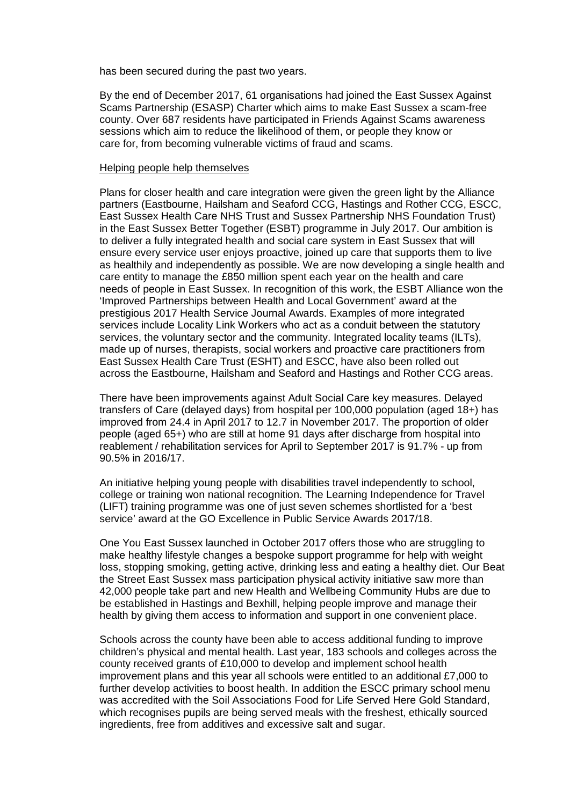has been secured during the past two years.

By the end of December 2017, 61 organisations had joined the East Sussex Against Scams Partnership (ESASP) Charter which aims to make East Sussex a scam-free county. Over 687 residents have participated in Friends Against Scams awareness sessions which aim to reduce the likelihood of them, or people they know or care for, from becoming vulnerable victims of fraud and scams.

#### Helping people help themselves

Plans for closer health and care integration were given the green light by the Alliance partners (Eastbourne, Hailsham and Seaford CCG, Hastings and Rother CCG, ESCC, East Sussex Health Care NHS Trust and Sussex Partnership NHS Foundation Trust) in the East Sussex Better Together (ESBT) programme in July 2017. Our ambition is to deliver a fully integrated health and social care system in East Sussex that will ensure every service user enjoys proactive, joined up care that supports them to live as healthily and independently as possible. We are now developing a single health and care entity to manage the £850 million spent each year on the health and care needs of people in East Sussex. In recognition of this work, the ESBT Alliance won the 'Improved Partnerships between Health and Local Government' award at the prestigious 2017 Health Service Journal Awards. Examples of more integrated services include Locality Link Workers who act as a conduit between the statutory services, the voluntary sector and the community. Integrated locality teams (ILTs), made up of nurses, therapists, social workers and proactive care practitioners from East Sussex Health Care Trust (ESHT) and ESCC, have also been rolled out across the Eastbourne, Hailsham and Seaford and Hastings and Rother CCG areas.

There have been improvements against Adult Social Care key measures. Delayed transfers of Care (delayed days) from hospital per 100,000 population (aged 18+) has improved from 24.4 in April 2017 to 12.7 in November 2017. The proportion of older people (aged 65+) who are still at home 91 days after discharge from hospital into reablement / rehabilitation services for April to September 2017 is 91.7% - up from 90.5% in 2016/17.

An initiative helping young people with disabilities travel independently to school, college or training won national recognition. The Learning Independence for Travel (LIFT) training programme was one of just seven schemes shortlisted for a 'best service' award at the GO Excellence in Public Service Awards 2017/18.

One You East Sussex launched in October 2017 offers those who are struggling to make healthy lifestyle changes a bespoke support programme for help with weight loss, stopping smoking, getting active, drinking less and eating a healthy diet. Our Beat the Street East Sussex mass participation physical activity initiative saw more than 42,000 people take part and new Health and Wellbeing Community Hubs are due to be established in Hastings and Bexhill, helping people improve and manage their health by giving them access to information and support in one convenient place.

Schools across the county have been able to access additional funding to improve children's physical and mental health. Last year, 183 schools and colleges across the county received grants of £10,000 to develop and implement school health improvement plans and this year all schools were entitled to an additional £7,000 to further develop activities to boost health. In addition the ESCC primary school menu was accredited with the Soil Associations Food for Life Served Here Gold Standard, which recognises pupils are being served meals with the freshest, ethically sourced ingredients, free from additives and excessive salt and sugar.